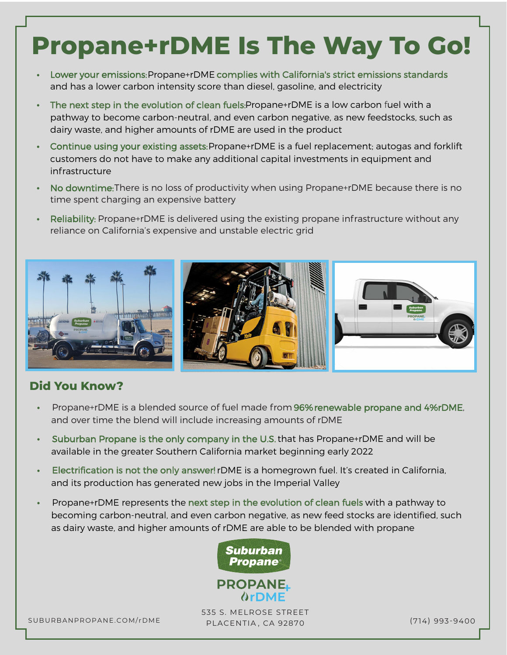# **Propane+rDME Is The Way To Go!**

- **•** Lower your emissions: Propane+rDME complies with California's strict emissions standards and has a lower carbon intensity score than diesel, gasoline, and electricity
- **•** The next step in the evolution of clean fuels: Propane+rDME is a low carbon fuel with a pathway to become carbon-neutral, and even carbon negative, as new feedstocks, such as dairy waste, and higher amounts of rDME are used in the product
- **•** Continue using your existing assets: Propane+rDME is a fuel replacement; autogas and forklift customers do not have to make any additional capital investments in equipment and infrastructure
- **•** No downtime: There is no loss of productivity when using Propane+rDME because there is no time spent charging an expensive battery
- **•** Reliability: Propane+rDME is delivered using the existing propane infrastructure without any reliance on California's expensive and unstable electric grid



#### **Did You Know?**

- Propane+rDME is a blended source of fuel made from 96% renewable propane and 4%rDME, and over time the blend will include increasing amounts of rDME
- **•** Suburban Propane is the only company in the U.S.that has Propane+rDME and will be available in the greater Southern California market beginning early 2022
- **•** Electrification is not the only answer! rDME is a homegrown fuel. It's created in California, and its production has generated new jobs in the Imperial Valley
- **•** Propane+rDME represents the next step in the evolution of clean fuels with a pathway to becoming carbon-neutral, and even carbon negative, as new feed stocks are identified, such as dairy waste, and higher amounts of rDME are able to be blended with propane



SUBURBANPROPANE.COM/rDME (714) 993-9400 PLACENTIA , CA 92870 535 S. MELROSE STREET